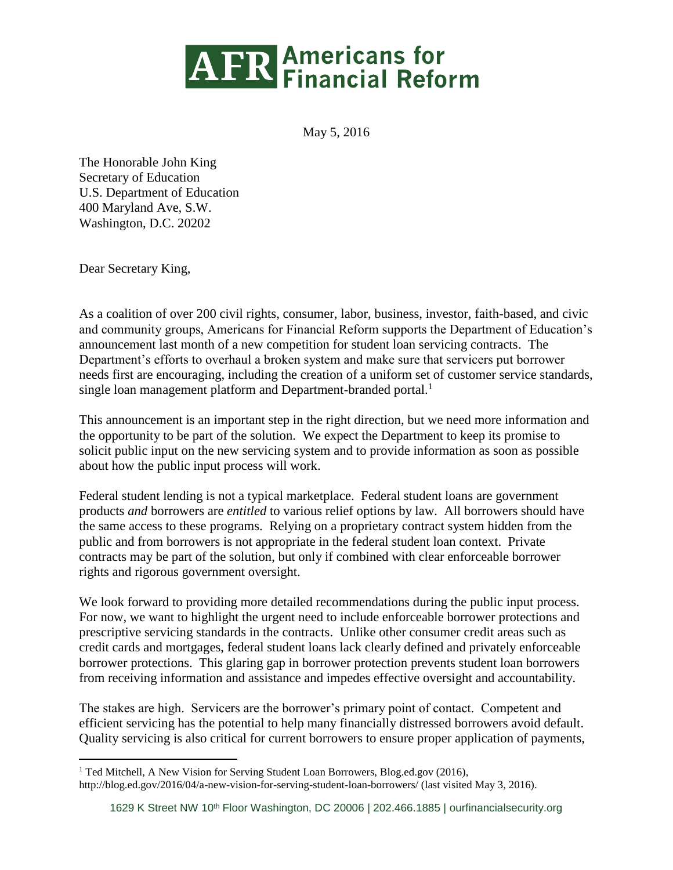## **AFR** Americans for<br>Financial Reform

May 5, 2016

The Honorable John King Secretary of Education U.S. Department of Education 400 Maryland Ave, S.W. Washington, D.C. 20202

Dear Secretary King,

As a coalition of over 200 civil rights, consumer, labor, business, investor, faith-based, and civic and community groups, Americans for Financial Reform supports the Department of Education's announcement last month of a new competition for student loan servicing contracts. The Department's efforts to overhaul a broken system and make sure that servicers put borrower needs first are encouraging, including the creation of a uniform set of customer service standards, single loan management platform and Department-branded portal.<sup>1</sup>

This announcement is an important step in the right direction, but we need more information and the opportunity to be part of the solution. We expect the Department to keep its promise to solicit public input on the new servicing system and to provide information as soon as possible about how the public input process will work.

Federal student lending is not a typical marketplace. Federal student loans are government products *and* borrowers are *entitled* to various relief options by law. All borrowers should have the same access to these programs. Relying on a proprietary contract system hidden from the public and from borrowers is not appropriate in the federal student loan context. Private contracts may be part of the solution, but only if combined with clear enforceable borrower rights and rigorous government oversight.

We look forward to providing more detailed recommendations during the public input process. For now, we want to highlight the urgent need to include enforceable borrower protections and prescriptive servicing standards in the contracts. Unlike other consumer credit areas such as credit cards and mortgages, federal student loans lack clearly defined and privately enforceable borrower protections. This glaring gap in borrower protection prevents student loan borrowers from receiving information and assistance and impedes effective oversight and accountability.

The stakes are high. Servicers are the borrower's primary point of contact. Competent and efficient servicing has the potential to help many financially distressed borrowers avoid default. Quality servicing is also critical for current borrowers to ensure proper application of payments,

 $\overline{a}$ <sup>1</sup> Ted Mitchell, A New Vision for Serving Student Loan Borrowers, Blog.ed.gov (2016),

http://blog.ed.gov/2016/04/a-new-vision-for-serving-student-loan-borrowers/ (last visited May 3, 2016).